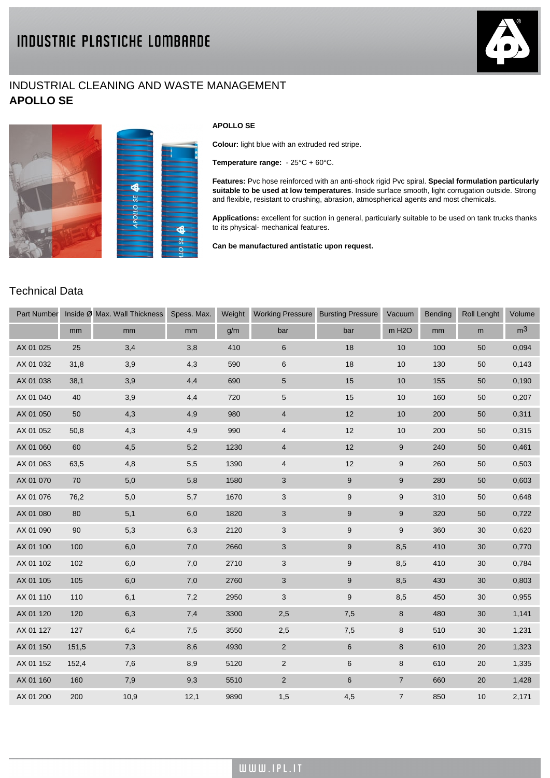## INDUSTRIAL CLEANING AND WASTE MANAGEMENT **APOLLO SE**







## **APOLLO SE**

**Colour:** light blue with an extruded red stripe.

**Temperature range:** - 25°C + 60°C.

**Features:** Pvc hose reinforced with an anti-shock rigid Pvc spiral. **Special formulation particularly suitable to be used at low temperatures**. Inside surface smooth, light corrugation outside. Strong and flexible, resistant to crushing, abrasion, atmospherical agents and most chemicals.

**Applications:** excellent for suction in general, particularly suitable to be used on tank trucks thanks to its physical- mechanical features.

**Can be manufactured antistatic upon request.**

## Technical Data

| Part Number |       | Inside Ø Max. Wall Thickness | Spess. Max. | Weight | <b>Working Pressure</b>   | <b>Bursting Pressure</b> | Vacuum             | Bending | <b>Roll Lenght</b> | Volume         |
|-------------|-------|------------------------------|-------------|--------|---------------------------|--------------------------|--------------------|---------|--------------------|----------------|
|             | mm    | mm                           | mm          | g/m    | bar                       | bar                      | m H <sub>2</sub> O | mm      | ${\sf m}$          | m <sup>3</sup> |
| AX 01 025   | 25    | 3,4                          | 3,8         | 410    | $\,6$                     | 18                       | 10                 | 100     | 50                 | 0,094          |
| AX 01 032   | 31,8  | 3,9                          | 4,3         | 590    | $\,6\,$                   | 18                       | 10                 | 130     | 50                 | 0,143          |
| AX 01 038   | 38,1  | 3,9                          | 4,4         | 690    | 5                         | 15                       | 10                 | 155     | 50                 | 0,190          |
| AX 01 040   | 40    | 3,9                          | 4,4         | 720    | $\sqrt{5}$                | 15                       | $10$               | 160     | 50                 | 0,207          |
| AX 01 050   | 50    | 4,3                          | 4,9         | 980    | $\overline{4}$            | 12                       | 10                 | 200     | 50                 | 0,311          |
| AX 01 052   | 50,8  | 4,3                          | 4,9         | 990    | $\overline{4}$            | 12                       | 10                 | 200     | 50                 | 0,315          |
| AX 01 060   | 60    | 4,5                          | 5,2         | 1230   | $\overline{4}$            | 12                       | $\boldsymbol{9}$   | 240     | 50                 | 0,461          |
| AX 01 063   | 63,5  | 4,8                          | 5,5         | 1390   | $\overline{4}$            | 12                       | 9                  | 260     | 50                 | 0,503          |
| AX 01 070   | 70    | 5,0                          | 5,8         | 1580   | 3                         | 9                        | 9                  | 280     | 50                 | 0,603          |
| AX 01 076   | 76,2  | 5,0                          | 5,7         | 1670   | $\mathbf{3}$              | $\boldsymbol{9}$         | 9                  | 310     | 50                 | 0,648          |
| AX 01 080   | 80    | 5,1                          | $6,0$       | 1820   | $\mathbf{3}$              | $\boldsymbol{9}$         | $\mathsf g$        | 320     | 50                 | 0,722          |
| AX 01 090   | 90    | 5,3                          | 6,3         | 2120   | $\ensuremath{\mathsf{3}}$ | $\boldsymbol{9}$         | 9                  | 360     | 30                 | 0,620          |
| AX 01 100   | 100   | 6,0                          | 7,0         | 2660   | $\mathbf{3}$              | $\boldsymbol{9}$         | 8,5                | 410     | 30                 | 0,770          |
| AX 01 102   | 102   | 6,0                          | 7,0         | 2710   | 3                         | 9                        | 8,5                | 410     | 30                 | 0,784          |
| AX 01 105   | 105   | 6,0                          | 7,0         | 2760   | $\mathbf{3}$              | 9                        | 8,5                | 430     | 30                 | 0,803          |
| AX 01 110   | 110   | 6,1                          | 7,2         | 2950   | $\mathbf{3}$              | $\boldsymbol{9}$         | 8,5                | 450     | 30                 | 0,955          |
| AX 01 120   | 120   | 6,3                          | 7,4         | 3300   | 2,5                       | 7,5                      | $\bf8$             | 480     | 30                 | 1,141          |
| AX 01 127   | 127   | 6,4                          | 7,5         | 3550   | 2,5                       | 7,5                      | 8                  | 510     | 30                 | 1,231          |
| AX 01 150   | 151,5 | 7,3                          | 8,6         | 4930   | $\sqrt{2}$                | $\,6$                    | $\bf 8$            | 610     | 20                 | 1,323          |
| AX 01 152   | 152,4 | 7,6                          | 8,9         | 5120   | $\overline{2}$            | 6                        | 8                  | 610     | 20                 | 1,335          |
| AX 01 160   | 160   | 7,9                          | 9,3         | 5510   | $\overline{2}$            | 6                        | $\overline{7}$     | 660     | 20                 | 1,428          |
| AX 01 200   | 200   | 10,9                         | 12,1        | 9890   | 1,5                       | 4,5                      | $\overline{7}$     | 850     | 10                 | 2,171          |